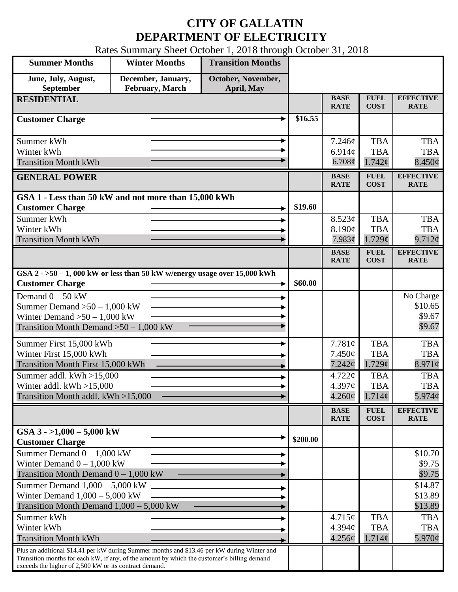## **CITY OF GALLATIN DEPARTMENT OF ELECTRICITY**

Rates Summary Sheet October 1, 2018 through October 31, 2018

| <b>Summer Months</b>                                                                                                                                  | <b>Winter Months</b> | <b>Transition Months</b> |          |                            |                            |                                 |
|-------------------------------------------------------------------------------------------------------------------------------------------------------|----------------------|--------------------------|----------|----------------------------|----------------------------|---------------------------------|
| June, July, August,                                                                                                                                   | December, January,   | October, November,       |          |                            |                            |                                 |
| September                                                                                                                                             | February, March      | April, May               |          |                            |                            |                                 |
| <b>RESIDENTIAL</b>                                                                                                                                    |                      |                          |          | <b>BASE</b><br><b>RATE</b> | <b>FUEL</b><br><b>COST</b> | <b>EFFECTIVE</b><br><b>RATE</b> |
| <b>Customer Charge</b>                                                                                                                                |                      |                          | \$16.55  |                            |                            |                                 |
| Summer kWh                                                                                                                                            |                      |                          |          | 7.246¢                     | <b>TBA</b>                 | <b>TBA</b>                      |
| Winter kWh                                                                                                                                            |                      |                          |          | 6.914 $\phi$               | <b>TBA</b>                 | <b>TBA</b>                      |
| <b>Transition Month kWh</b>                                                                                                                           |                      |                          |          | 6.708¢                     | 1.742¢                     | $8.450\phi$                     |
| <b>GENERAL POWER</b>                                                                                                                                  |                      |                          |          | <b>BASE</b><br><b>RATE</b> | <b>FUEL</b><br><b>COST</b> | <b>EFFECTIVE</b><br><b>RATE</b> |
| GSA 1 - Less than 50 kW and not more than 15,000 kWh                                                                                                  |                      |                          |          |                            |                            |                                 |
| <b>Customer Charge</b>                                                                                                                                |                      |                          | \$19.60  |                            |                            |                                 |
| Summer kWh                                                                                                                                            |                      |                          |          | 8.523c                     | <b>TBA</b>                 | <b>TBA</b>                      |
| Winter kWh                                                                                                                                            |                      |                          |          | 8.190¢                     | <b>TBA</b>                 | <b>TBA</b>                      |
| <b>Transition Month kWh</b>                                                                                                                           |                      |                          |          | 7.983¢                     | $1.729\mathcal{C}$         | 9.712¢                          |
|                                                                                                                                                       |                      |                          |          | <b>BASE</b><br><b>RATE</b> | <b>FUEL</b><br><b>COST</b> | <b>EFFECTIVE</b><br><b>RATE</b> |
| GSA $2 - 50 - 1$ , 000 kW or less than 50 kW w/energy usage over 15,000 kWh<br><b>Customer Charge</b>                                                 |                      |                          | \$60.00  |                            |                            |                                 |
| Demand $0 - 50$ kW                                                                                                                                    |                      |                          |          |                            |                            | No Charge                       |
| Summer Demand $>50 - 1,000$ kW                                                                                                                        |                      |                          |          |                            |                            | \$10.65                         |
| Winter Demand $>50-1,000$ kW                                                                                                                          |                      |                          |          |                            |                            | \$9.67                          |
| Transition Month Demand $>50-1,000$ kW                                                                                                                |                      |                          |          |                            |                            | \$9.67                          |
| Summer First 15,000 kWh                                                                                                                               |                      |                          |          | 7.781¢                     | <b>TBA</b>                 | <b>TBA</b>                      |
| Winter First 15,000 kWh                                                                                                                               |                      |                          |          | $7.450\phi$                | <b>TBA</b>                 | <b>TBA</b>                      |
| Transition Month First 15,000 kWh                                                                                                                     |                      |                          |          | 7.242¢                     | 1.729¢                     | $8.971\phi$                     |
| Summer addl. $kWh > 15,000$                                                                                                                           |                      |                          |          | 4.722¢                     | <b>TBA</b>                 | <b>TBA</b>                      |
| Winter addl. $kWh > 15,000$                                                                                                                           |                      |                          |          | 4.397¢                     | <b>TBA</b>                 | <b>TBA</b>                      |
| Transition Month addl. kWh >15,000                                                                                                                    |                      |                          |          | $4.260\phi$                | $1.714\phi$                | 5.974¢                          |
|                                                                                                                                                       |                      |                          |          | <b>BASE</b><br><b>RATE</b> | <b>FUEL</b><br><b>COST</b> | <b>EFFECTIVE</b><br><b>RATE</b> |
| GSA $3 - 1,000 - 5,000$ kW                                                                                                                            |                      |                          | \$200.00 |                            |                            |                                 |
| <b>Customer Charge</b><br>Summer Demand $0 - 1,000$ kW                                                                                                |                      |                          |          |                            |                            |                                 |
| Winter Demand $0 - 1,000$ kW                                                                                                                          |                      |                          |          |                            |                            | \$10.70<br>\$9.75               |
| Transition Month Demand $0 - 1,000$ kW                                                                                                                |                      |                          |          |                            |                            | \$9.75                          |
| Summer Demand $1,000 - 5,000$ kW                                                                                                                      |                      |                          |          |                            |                            | \$14.87                         |
| Winter Demand $1,000 - 5,000$ kW                                                                                                                      |                      |                          |          |                            |                            | \$13.89                         |
| Transition Month Demand $1,000 - 5,000$ kW                                                                                                            |                      |                          |          |                            |                            | \$13.89                         |
| Summer kWh                                                                                                                                            |                      |                          |          | 4.715¢                     | <b>TBA</b>                 | <b>TBA</b>                      |
| Winter kWh                                                                                                                                            |                      |                          |          | 4.394c                     | <b>TBA</b>                 | <b>TBA</b>                      |
| <b>Transition Month kWh</b>                                                                                                                           |                      |                          |          | 4.256¢                     | 1.714¢                     | 5.970¢                          |
| Plus an additional \$14.41 per kW during Summer months and \$13.46 per kW during Winter and                                                           |                      |                          |          |                            |                            |                                 |
| Transition months for each kW, if any, of the amount by which the customer's billing demand<br>exceeds the higher of 2,500 kW or its contract demand. |                      |                          |          |                            |                            |                                 |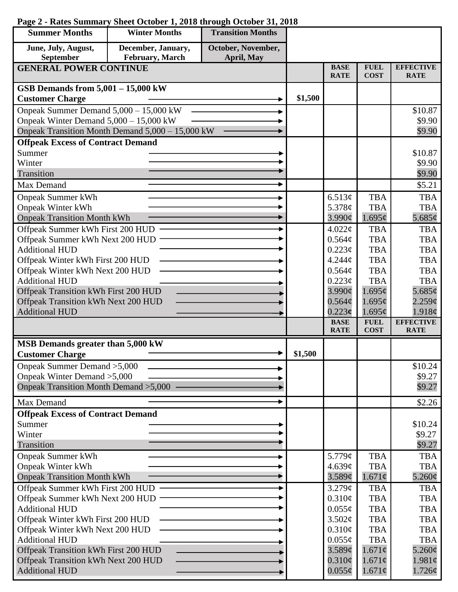## **Page 2 - Rates Summary Sheet October 1, 2018 through October 31, 2018**

| <b>Summer Months</b>                                         | <b>Winter Months</b>                             | <b>Transition Months</b> |         |                            |                            |                                 |
|--------------------------------------------------------------|--------------------------------------------------|--------------------------|---------|----------------------------|----------------------------|---------------------------------|
| June, July, August,                                          | December, January,                               | October, November,       |         |                            |                            |                                 |
| <b>September</b>                                             | February, March                                  | April, May               |         |                            |                            |                                 |
| <b>GENERAL POWER CONTINUE</b>                                |                                                  |                          |         | <b>BASE</b><br><b>RATE</b> | <b>FUEL</b><br><b>COST</b> | <b>EFFECTIVE</b><br><b>RATE</b> |
| GSB Demands from $5,001 - 15,000$ kW                         |                                                  |                          |         |                            |                            |                                 |
| <b>Customer Charge</b>                                       |                                                  |                          | \$1,500 |                            |                            |                                 |
| Onpeak Summer Demand 5,000 - 15,000 kW                       |                                                  |                          |         |                            |                            | \$10.87                         |
| Onpeak Winter Demand 5,000 - 15,000 kW                       |                                                  |                          |         |                            |                            | \$9.90                          |
|                                                              | Onpeak Transition Month Demand 5,000 - 15,000 kW |                          |         |                            |                            | \$9.90                          |
| <b>Offpeak Excess of Contract Demand</b>                     |                                                  |                          |         |                            |                            |                                 |
| Summer                                                       |                                                  |                          |         |                            |                            | \$10.87                         |
| Winter                                                       |                                                  |                          |         |                            |                            | \$9.90                          |
| Transition                                                   |                                                  |                          |         |                            |                            | \$9.90                          |
| Max Demand                                                   |                                                  |                          |         |                            |                            | \$5.21                          |
| <b>Onpeak Summer kWh</b>                                     |                                                  |                          |         | 6.513¢                     | <b>TBA</b>                 | <b>TBA</b>                      |
| <b>Onpeak Winter kWh</b>                                     |                                                  |                          |         | 5.378 $\phi$               | <b>TBA</b>                 | <b>TBA</b>                      |
| <b>Onpeak Transition Month kWh</b>                           |                                                  |                          |         | 3.990c                     | 1.695¢                     | 5.685 $\phi$                    |
| Offpeak Summer kWh First 200 HUD                             |                                                  |                          |         | 4.022¢                     | <b>TBA</b>                 | <b>TBA</b>                      |
| Offpeak Summer kWh Next 200 HUD<br><b>Additional HUD</b>     |                                                  |                          |         | 0.564¢                     | <b>TBA</b><br><b>TBA</b>   | <b>TBA</b><br><b>TBA</b>        |
| Offpeak Winter kWh First 200 HUD                             |                                                  |                          |         | 0.223¢<br>4.244c           | <b>TBA</b>                 | <b>TBA</b>                      |
| Offpeak Winter kWh Next 200 HUD                              |                                                  |                          |         | 0.564¢                     | <b>TBA</b>                 | <b>TBA</b>                      |
| <b>Additional HUD</b>                                        |                                                  |                          |         | $0.223\phi$                | <b>TBA</b>                 | <b>TBA</b>                      |
| Offpeak Transition kWh First 200 HUD                         |                                                  |                          |         | $3.990\ell$                | 1.695¢                     | 5.685 $\phi$                    |
| Offpeak Transition kWh Next 200 HUD                          |                                                  |                          |         | $0.564\mathcal{C}$         | 1.695¢                     | $2.259\mathcal{C}$              |
| <b>Additional HUD</b>                                        |                                                  |                          |         | 0.223c                     | 1.695¢                     | 1.918¢                          |
|                                                              |                                                  |                          |         | <b>BASE</b><br><b>RATE</b> | <b>FUEL</b><br><b>COST</b> | <b>EFFECTIVE</b><br><b>RATE</b> |
|                                                              |                                                  |                          |         |                            |                            |                                 |
| MSB Demands greater than 5,000 kW<br><b>Customer Charge</b>  |                                                  |                          | \$1,500 |                            |                            |                                 |
| Onpeak Summer Demand > 5,000                                 |                                                  |                          |         |                            |                            | \$10.24                         |
| Onpeak Winter Demand > 5,000                                 |                                                  |                          |         |                            |                            | \$9.27                          |
| Onpeak Transition Month Demand > 5,000                       |                                                  |                          |         |                            |                            | \$9.27                          |
| Max Demand                                                   |                                                  |                          |         |                            |                            | \$2.26                          |
| <b>Offpeak Excess of Contract Demand</b>                     |                                                  |                          |         |                            |                            |                                 |
| Summer                                                       |                                                  |                          |         |                            |                            | \$10.24                         |
| Winter                                                       |                                                  |                          |         |                            |                            | \$9.27                          |
| Transition                                                   |                                                  |                          |         |                            |                            | \$9.27                          |
| <b>Onpeak Summer kWh</b>                                     |                                                  |                          |         | 5.779¢                     | <b>TBA</b>                 | <b>TBA</b>                      |
| <b>Onpeak Winter kWh</b>                                     |                                                  |                          |         | 4.639¢                     | <b>TBA</b>                 | <b>TBA</b>                      |
| <b>Onpeak Transition Month kWh</b>                           |                                                  |                          |         | 3.589¢                     | $1.671\phi$                | $5.260\phi$                     |
| Offpeak Summer kWh First 200 HUD                             |                                                  |                          |         | 3.279¢                     | <b>TBA</b>                 | <b>TBA</b>                      |
| Offpeak Summer kWh Next 200 HUD                              |                                                  |                          |         | 0.310¢                     | <b>TBA</b>                 | <b>TBA</b>                      |
| <b>Additional HUD</b>                                        |                                                  |                          |         | $0.055\phi$                | <b>TBA</b>                 | <b>TBA</b>                      |
| Offpeak Winter kWh First 200 HUD                             |                                                  |                          |         | 3.502¢                     | <b>TBA</b>                 | <b>TBA</b>                      |
| Offpeak Winter kWh Next 200 HUD                              |                                                  |                          |         | 0.310¢                     | <b>TBA</b>                 | <b>TBA</b>                      |
| <b>Additional HUD</b>                                        |                                                  |                          |         | $0.055\phi$                | <b>TBA</b>                 | <b>TBA</b>                      |
| Offpeak Transition kWh First 200 HUD                         |                                                  |                          |         | 3.589¢                     | $1.671\phi$                | $5.260\phi$                     |
| Offpeak Transition kWh Next 200 HUD<br><b>Additional HUD</b> |                                                  |                          |         | $0.310\phi$<br>$0.055\phi$ | $1.671\phi$<br>$1.671\phi$ | $1.981\phi$<br>$1.726\phi$      |
|                                                              |                                                  |                          |         |                            |                            |                                 |